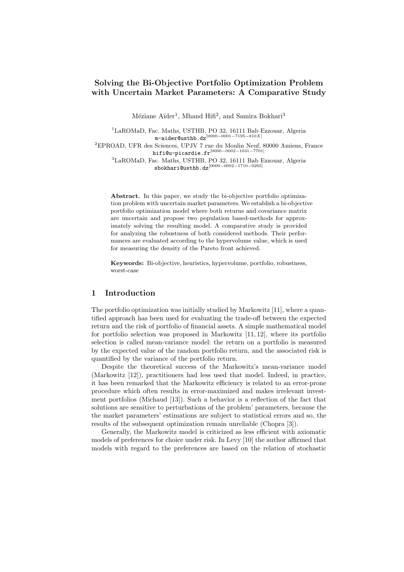# Solving the Bi-Objective Portfolio Optimization Problem with Uncertain Market Parameters: A Comparative Study

Méziane Aïder<sup>1</sup>, Mhand Hifi<sup>2</sup>, and Samira Bokhari<sup>3</sup>

<sup>1</sup>LaROMaD, Fac. Maths, USTHB, PO 32, 16111 Bab Ezzouar, Algeria m-aider@usthb.dz<sup>[0000-0001-7195-810X]</sup>

 ${}^{2}$ EPROAD, UFR des Sciences, UPJV 7 rue du Moulin Neuf, 80000 Amiens, France <code>hifi@u-picardie.fr</code>  $^{\left[0000-0002-1031-7701\right]}$ 

<sup>3</sup>LaROMaD, Fac. Maths, USTHB, PO 32, 16111 Bab Ezzouar, Algeria  $s$ bokhari@usthb.dz $[0000-0002-1710-0265]$ 

Abstract. In this paper, we study the bi-objective portfolio optimization problem with uncertain market parameters. We establish a bi-objective portfolio optimization model where both returns and covariance matrix are uncertain and propose two population based-methods for approximately solving the resulting model. A comparative study is provided for analyzing the robustness of both considered methods. Their performances are evaluated according to the hypervolume value, which is used for measuring the density of the Pareto front achieved.

Keywords: Bi-objective, heuristics, hypervolume, portfolio, robustness, worst-case

## 1 Introduction

The portfolio optimization was initially studied by Markowitz [11], where a quantified approach has been used for evaluating the trade-off between the expected return and the risk of portfolio of financial assets. A simple mathematical model for portfolio selection was proposed in Markowitz [11, 12], where its portfolio selection is called mean-variance model: the return on a portfolio is measured by the expected value of the random portfolio return, and the associated risk is quantified by the variance of the portfolio return.

Despite the theoretical success of the Markowitz's mean-variance model (Markowitz [12]), practitioners had less used that model. Indeed, in practice, it has been remarked that the Markowitz efficiency is related to an error-prone procedure which often results in error-maximized and makes irrelevant investment portfolios (Michaud [13]). Such a behavior is a reflection of the fact that solutions are sensitive to perturbations of the problem' parameters, because the the market parameters' estimations are subject to statistical errors and so, the results of the subsequent optimization remain unreliable (Chopra [3]).

Generally, the Markowitz model is criticized as less efficient with axiomatic models of preferences for choice under risk. In Levy  $[10]$  the author affirmed that models with regard to the preferences are based on the relation of stochastic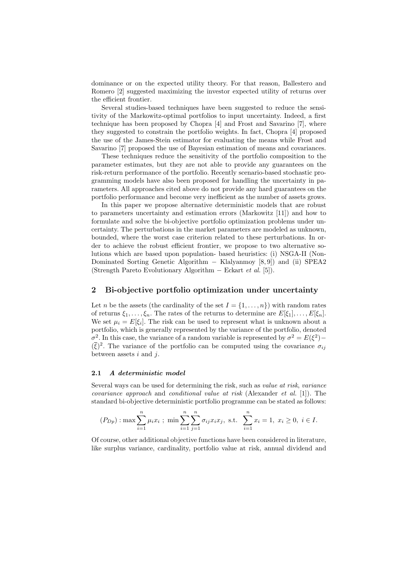dominance or on the expected utility theory. For that reason, Ballestero and Romero [2] suggested maximizing the investor expected utility of returns over the efficient frontier.

Several studies-based techniques have been suggested to reduce the sensitivity of the Markowitz-optimal portfolios to input uncertainty. Indeed, a first technique has been proposed by Chopra [4] and Frost and Savarino [7], where they suggested to constrain the portfolio weights. In fact, Chopra [4] proposed the use of the James-Stein estimator for evaluating the means while Frost and Savarino [7] proposed the use of Bayesian estimation of means and covariances.

These techniques reduce the sensitivity of the portfolio composition to the parameter estimates, but they are not able to provide any guarantees on the risk-return performance of the portfolio. Recently scenario-based stochastic programming models have also been proposed for handling the uncertainty in parameters. All approaches cited above do not provide any hard guarantees on the portfolio performance and become very inefficient as the number of assets grows.

In this paper we propose alternative deterministic models that are robust to parameters uncertainty and estimation errors (Markowitz [11]) and how to formulate and solve the bi-objective portfolio optimization problems under uncertainty. The perturbations in the market parameters are modeled as unknown, bounded, where the worst case criterion related to these perturbations. In order to achieve the robust efficient frontier, we propose to two alternative solutions which are based upon population- based heuristics: (i) NSGA-II (Non-Dominated Sorting Genetic Algorithm  $-$  Klalyanmoy  $[8, 9]$  and (ii) SPEA2 (Strength Pareto Evolutionary Algorithm – Eckart *et al.* [5]).

### 2 Bi-objective portfolio optimization under uncertainty

Let *n* be the assets (the cardinality of the set  $I = \{1, \ldots, n\}$ ) with random rates of returns  $\xi_1, \ldots, \xi_n$ . The rates of the returns to determine are  $E[\xi_1], \ldots, E[\xi_n]$ . We set  $\mu_i = E[\xi_i]$ . The risk can be used to represent what is unknown about a portfolio, which is generally represented by the variance of the portfolio, denoted  $\sigma^2$ . In this case, the variance of a random variable is represented by  $\sigma^2 = E(\xi^2)$  $(\bar{\xi})^2$ . The variance of the portfolio can be computed using the covariance  $\sigma_{ij}$ between assets *i* and *j*.

#### 2.1 *A deterministic model*

Several ways can be used for determining the risk, such as *value at risk*, *variance covariance approach* and *conditional value at risk* (Alexander *et al.* [1]). The standard bi-objective deterministic portfolio programme can be stated as follows:

$$
(P_{Dp}):
$$
 max  $\sum_{i=1}^{n} \mu_i x_i$ ; min  $\sum_{i=1}^{n} \sum_{j=1}^{n} \sigma_{ij} x_i x_j$ , s.t.  $\sum_{i=1}^{n} x_i = 1$ ,  $x_i \ge 0$ ,  $i \in I$ .

Of course, other additional objective functions have been considered in literature, like surplus variance, cardinality, portfolio value at risk, annual dividend and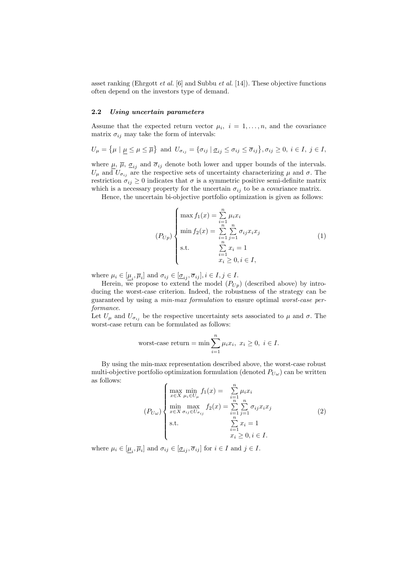asset ranking (Ehrgott *et al.* [6] and Subbu *et al.* [14]). These objective functions often depend on the investors type of demand.

#### 2.2 *Using uncertain parameters*

Assume that the expected return vector  $\mu_i$ ,  $i = 1, \ldots, n$ , and the covariance matrix  $\sigma_{ij}$  may take the form of intervals:

$$
U_{\mu} = \{\mu \mid \underline{\mu} \le \mu \le \overline{\mu}\} \text{ and } U_{\sigma_{ij}} = \{\sigma_{ij} \mid \underline{\sigma}_{ij} \le \sigma_{ij} \le \overline{\sigma}_{ij}\}, \sigma_{ij} \ge 0, i \in I, j \in I,
$$

where  $\mu$ ,  $\overline{\mu}$ ,  $\underline{\sigma}_{ij}$  and  $\overline{\sigma}_{ij}$  denote both lower and upper bounds of the intervals.  $U_{\mu}$  and  $U_{\sigma_{ij}}$  are the respective sets of uncertainty characterizing  $\mu$  and  $\sigma$ . The restriction  $\sigma_{ij} \geq 0$  indicates that  $\sigma$  is a symmetric positive semi-definite matrix which is a necessary property for the uncertain  $\sigma_{ij}$  to be a covariance matrix.

Hence, the uncertain bi-objective portfolio optimization is given as follows:

$$
(P_{Up})\begin{cases} \max f_1(x) = \sum_{i=1}^{n} \mu_i x_i \\ \min f_2(x) = \sum_{i=1}^{n} \sum_{j=1}^{n} \sigma_{ij} x_i x_j \\ \text{s.t.} \qquad \sum_{i=1}^{n} x_i = 1 \\ x_i \ge 0, i \in I, \end{cases} (1)
$$

where  $\mu_i \in [\underline{\mu}_i, \overline{\mu}_i]$  and  $\sigma_{ij} \in [\underline{\sigma}_{ij}, \overline{\sigma}_{ij}], i \in I, j \in I$ .

Herein, we propose to extend the model  $(P_{Up})$  (described above) by introducing the worst-case criterion. Indeed, the robustness of the strategy can be guaranteed by using a *min-max formulation* to ensure optimal *worst-case performance*.

Let  $U_{\mu}$  and  $U_{\sigma_{ij}}$  be the respective uncertainty sets associated to  $\mu$  and  $\sigma$ . The worst-case return can be formulated as follows:

worst-case return = min 
$$
\sum_{i=1}^{n} \mu_i x_i
$$
,  $x_i \ge 0$ ,  $i \in I$ .

By using the min-max representation described above, the worst-case robust multi-objective portfolio optimization formulation (denoted  $P_{U\omega}$ ) can be written as follows:

$$
(P_{U\omega})\begin{cases}\n\max_{x \in X} \min_{\mu_i \in U_{\mu}} f_1(x) = \sum_{\substack{i=1 \ i \neq j}}^n \mu_i x_i \\
\min_{x \in X} \max_{\sigma_{ij} \in U_{\sigma_{ij}}} f_2(x) = \sum_{\substack{i=1 \ i \neq j}}^n \sum_{j=1}^n \sigma_{ij} x_i x_j \\
\text{s.t.} \qquad \sum_{\substack{i=1 \ i \neq j}}^n x_i = 1 \\
x_i \ge 0, i \in I.\n\end{cases} (2)
$$

where  $\mu_i \in [\underline{\mu}_i, \overline{\mu}_i]$  and  $\sigma_{ij} \in [\underline{\sigma}_{ij}, \overline{\sigma}_{ij}]$  for  $i \in I$  and  $j \in I$ .